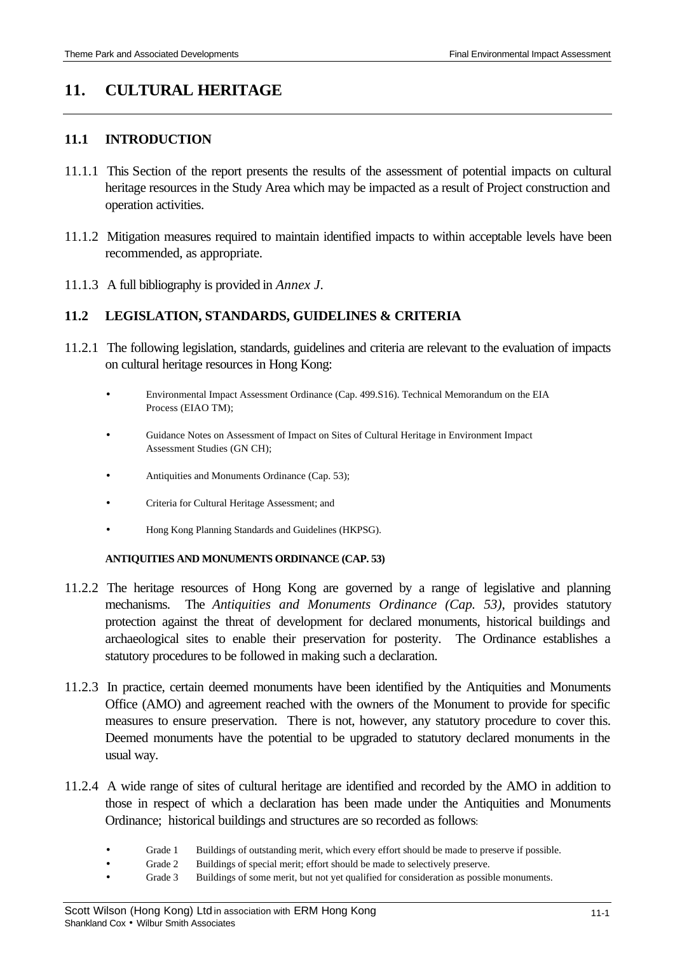# **11. CULTURAL HERITAGE**

### **11.1 INTRODUCTION**

- 11.1.1 This Section of the report presents the results of the assessment of potential impacts on cultural heritage resources in the Study Area which may be impacted as a result of Project construction and operation activities.
- 11.1.2 Mitigation measures required to maintain identified impacts to within acceptable levels have been recommended, as appropriate.
- 11.1.3 A full bibliography is provided in *Annex J*.

### **11.2 LEGISLATION, STANDARDS, GUIDELINES & CRITERIA**

- 11.2.1 The following legislation, standards, guidelines and criteria are relevant to the evaluation of impacts on cultural heritage resources in Hong Kong:
	- Environmental Impact Assessment Ordinance (Cap. 499.S16). Technical Memorandum on the EIA Process (EIAO TM);
	- Guidance Notes on Assessment of Impact on Sites of Cultural Heritage in Environment Impact Assessment Studies (GN CH);
	- Antiquities and Monuments Ordinance (Cap. 53);
	- Criteria for Cultural Heritage Assessment; and
	- Hong Kong Planning Standards and Guidelines (HKPSG).

#### **ANTIQUITIES AND MONUMENTS ORDINANCE (CAP. 53)**

- 11.2.2 The heritage resources of Hong Kong are governed by a range of legislative and planning mechanisms. The *Antiquities and Monuments Ordinance (Cap. 53)*, provides statutory protection against the threat of development for declared monuments, historical buildings and archaeological sites to enable their preservation for posterity. The Ordinance establishes a statutory procedures to be followed in making such a declaration.
- 11.2.3 In practice, certain deemed monuments have been identified by the Antiquities and Monuments Office (AMO) and agreement reached with the owners of the Monument to provide for specific measures to ensure preservation. There is not, however, any statutory procedure to cover this. Deemed monuments have the potential to be upgraded to statutory declared monuments in the usual way.
- 11.2.4 A wide range of sites of cultural heritage are identified and recorded by the AMO in addition to those in respect of which a declaration has been made under the Antiquities and Monuments Ordinance; historical buildings and structures are so recorded as follows:
	- Grade 1 Buildings of outstanding merit, which every effort should be made to preserve if possible.
		- Grade 2 Buildings of special merit; effort should be made to selectively preserve.
	- Grade 3 Buildings of some merit, but not yet qualified for consideration as possible monuments.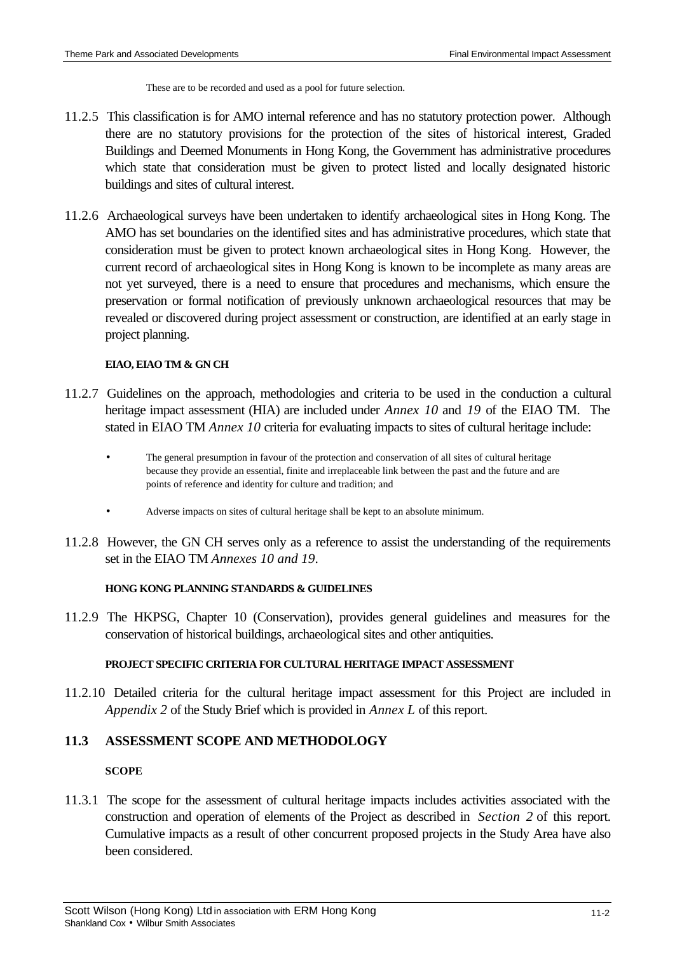These are to be recorded and used as a pool for future selection.

- 11.2.5 This classification is for AMO internal reference and has no statutory protection power. Although there are no statutory provisions for the protection of the sites of historical interest, Graded Buildings and Deemed Monuments in Hong Kong, the Government has administrative procedures which state that consideration must be given to protect listed and locally designated historic buildings and sites of cultural interest.
- 11.2.6 Archaeological surveys have been undertaken to identify archaeological sites in Hong Kong. The AMO has set boundaries on the identified sites and has administrative procedures, which state that consideration must be given to protect known archaeological sites in Hong Kong. However, the current record of archaeological sites in Hong Kong is known to be incomplete as many areas are not yet surveyed, there is a need to ensure that procedures and mechanisms, which ensure the preservation or formal notification of previously unknown archaeological resources that may be revealed or discovered during project assessment or construction, are identified at an early stage in project planning.

### **EIAO, EIAO TM & GN CH**

- 11.2.7 Guidelines on the approach, methodologies and criteria to be used in the conduction a cultural heritage impact assessment (HIA) are included under *Annex 10* and *19* of the EIAO TM. The stated in EIAO TM *Annex 10* criteria for evaluating impacts to sites of cultural heritage include:
	- The general presumption in favour of the protection and conservation of all sites of cultural heritage because they provide an essential, finite and irreplaceable link between the past and the future and are points of reference and identity for culture and tradition; and
	- Adverse impacts on sites of cultural heritage shall be kept to an absolute minimum.
- 11.2.8 However, the GN CH serves only as a reference to assist the understanding of the requirements set in the EIAO TM *Annexes 10 and 19*.

### **HONG KONG PLANNING STANDARDS & GUIDELINES**

11.2.9 The HKPSG, Chapter 10 (Conservation), provides general guidelines and measures for the conservation of historical buildings, archaeological sites and other antiquities.

#### **PROJECT SPECIFIC CRITERIA FOR CULTURAL HERITAGE IMPACT ASSESSMENT**

11.2.10 Detailed criteria for the cultural heritage impact assessment for this Project are included in *Appendix 2* of the Study Brief which is provided in *Annex L* of this report.

# **11.3 ASSESSMENT SCOPE AND METHODOLOGY**

### **SCOPE**

11.3.1 The scope for the assessment of cultural heritage impacts includes activities associated with the construction and operation of elements of the Project as described in *Section 2* of this report. Cumulative impacts as a result of other concurrent proposed projects in the Study Area have also been considered.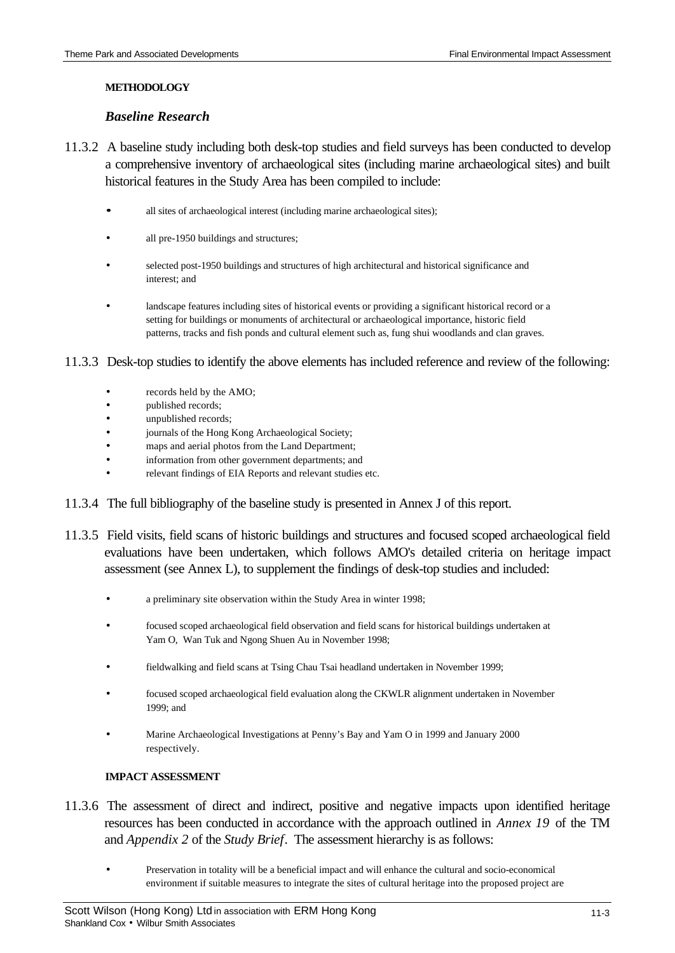#### **METHODOLOGY**

### *Baseline Research*

- 11.3.2 A baseline study including both desk-top studies and field surveys has been conducted to develop a comprehensive inventory of archaeological sites (including marine archaeological sites) and built historical features in the Study Area has been compiled to include:
	- **·** all sites of archaeological interest (including marine archaeological sites);
	- all pre-1950 buildings and structures;
	- selected post-1950 buildings and structures of high architectural and historical significance and interest; and
	- landscape features including sites of historical events or providing a significant historical record or a setting for buildings or monuments of architectural or archaeological importance, historic field patterns, tracks and fish ponds and cultural element such as, fung shui woodlands and clan graves.
- 11.3.3 Desk-top studies to identify the above elements has included reference and review of the following:
	- records held by the AMO;
	- published records;
	- unpublished records;
	- journals of the Hong Kong Archaeological Society;
	- maps and aerial photos from the Land Department;
	- information from other government departments; and
	- relevant findings of EIA Reports and relevant studies etc.
- 11.3.4 The full bibliography of the baseline study is presented in Annex J of this report.
- 11.3.5 Field visits, field scans of historic buildings and structures and focused scoped archaeological field evaluations have been undertaken, which follows AMO's detailed criteria on heritage impact assessment (see Annex L), to supplement the findings of desk-top studies and included:
	- a preliminary site observation within the Study Area in winter 1998;
	- focused scoped archaeological field observation and field scans for historical buildings undertaken at Yam O, Wan Tuk and Ngong Shuen Au in November 1998;
	- fieldwalking and field scans at Tsing Chau Tsai headland undertaken in November 1999;
	- focused scoped archaeological field evaluation along the CKWLR alignment undertaken in November 1999; and
	- Marine Archaeological Investigations at Penny's Bay and Yam O in 1999 and January 2000 respectively.

### **IMPACT ASSESSMENT**

- 11.3.6 The assessment of direct and indirect, positive and negative impacts upon identified heritage resources has been conducted in accordance with the approach outlined in *Annex 19* of the TM and *Appendix 2* of the *Study Brief*. The assessment hierarchy is as follows:
	- Preservation in totality will be a beneficial impact and will enhance the cultural and socio-economical environment if suitable measures to integrate the sites of cultural heritage into the proposed project are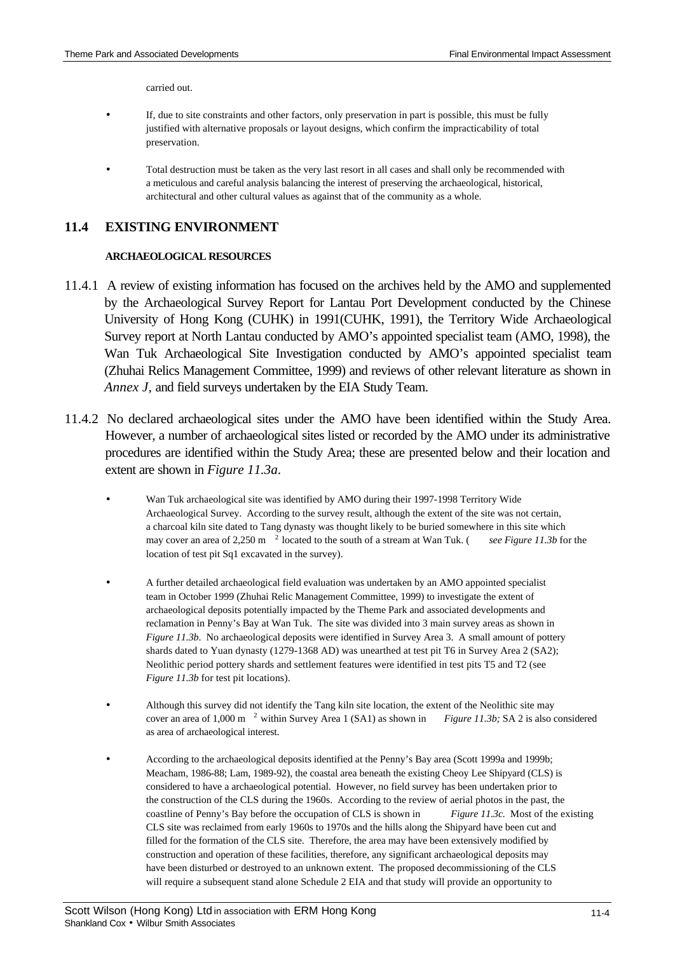carried out.

- If, due to site constraints and other factors, only preservation in part is possible, this must be fully justified with alternative proposals or layout designs, which confirm the impracticability of total preservation.
- Total destruction must be taken as the very last resort in all cases and shall only be recommended with a meticulous and careful analysis balancing the interest of preserving the archaeological, historical, architectural and other cultural values as against that of the community as a whole.

# **11.4 EXISTING ENVIRONMENT**

#### **ARCHAEOLOGICAL RESOURCES**

- 11.4.1 A review of existing information has focused on the archives held by the AMO and supplemented by the Archaeological Survey Report for Lantau Port Development conducted by the Chinese University of Hong Kong (CUHK) in 1991(CUHK, 1991), the Territory Wide Archaeological Survey report at North Lantau conducted by AMO's appointed specialist team (AMO, 1998), the Wan Tuk Archaeological Site Investigation conducted by AMO's appointed specialist team (Zhuhai Relics Management Committee, 1999) and reviews of other relevant literature as shown in *Annex J,* and field surveys undertaken by the EIA Study Team.
- 11.4.2 No declared archaeological sites under the AMO have been identified within the Study Area. However, a number of archaeological sites listed or recorded by the AMO under its administrative procedures are identified within the Study Area; these are presented below and their location and extent are shown in *Figure 11.3a*.
	- Wan Tuk archaeological site was identified by AMO during their 1997-1998 Territory Wide Archaeological Survey. According to the survey result, although the extent of the site was not certain, a charcoal kiln site dated to Tang dynasty was thought likely to be buried somewhere in this site which may cover an area of 2,250 m<sup>2</sup> located to the south of a stream at Wan Tuk. (*see Figure 11.3b* for the location of test pit Sq1 excavated in the survey).
	- A further detailed archaeological field evaluation was undertaken by an AMO appointed specialist team in October 1999 (Zhuhai Relic Management Committee, 1999) to investigate the extent of archaeological deposits potentially impacted by the Theme Park and associated developments and reclamation in Penny's Bay at Wan Tuk. The site was divided into 3 main survey areas as shown in *Figure 11.3b*. No archaeological deposits were identified in Survey Area 3. A small amount of pottery shards dated to Yuan dynasty (1279-1368 AD) was unearthed at test pit T6 in Survey Area 2 (SA2); Neolithic period pottery shards and settlement features were identified in test pits T5 and T2 (see *Figure 11.3b* for test pit locations).
	- Although this survey did not identify the Tang kiln site location, the extent of the Neolithic site may cover an area of 1,000 m <sup>2</sup>within Survey Area 1 (SA1) as shown in *Figure 11.3b;* SA 2 is also considered as area of archaeological interest.
	- According to the archaeological deposits identified at the Penny's Bay area (Scott 1999a and 1999b; Meacham, 1986-88; Lam, 1989-92), the coastal area beneath the existing Cheoy Lee Shipyard (CLS) is considered to have a archaeological potential. However, no field survey has been undertaken prior to the construction of the CLS during the 1960s. According to the review of aerial photos in the past, the coastline of Penny's Bay before the occupation of CLS is shown in *Figure 11.3c.* Most of the existing CLS site was reclaimed from early 1960s to 1970s and the hills along the Shipyard have been cut and filled for the formation of the CLS site. Therefore, the area may have been extensively modified by construction and operation of these facilities, therefore, any significant archaeological deposits may have been disturbed or destroyed to an unknown extent. The proposed decommissioning of the CLS will require a subsequent stand alone Schedule 2 EIA and that study will provide an opportunity to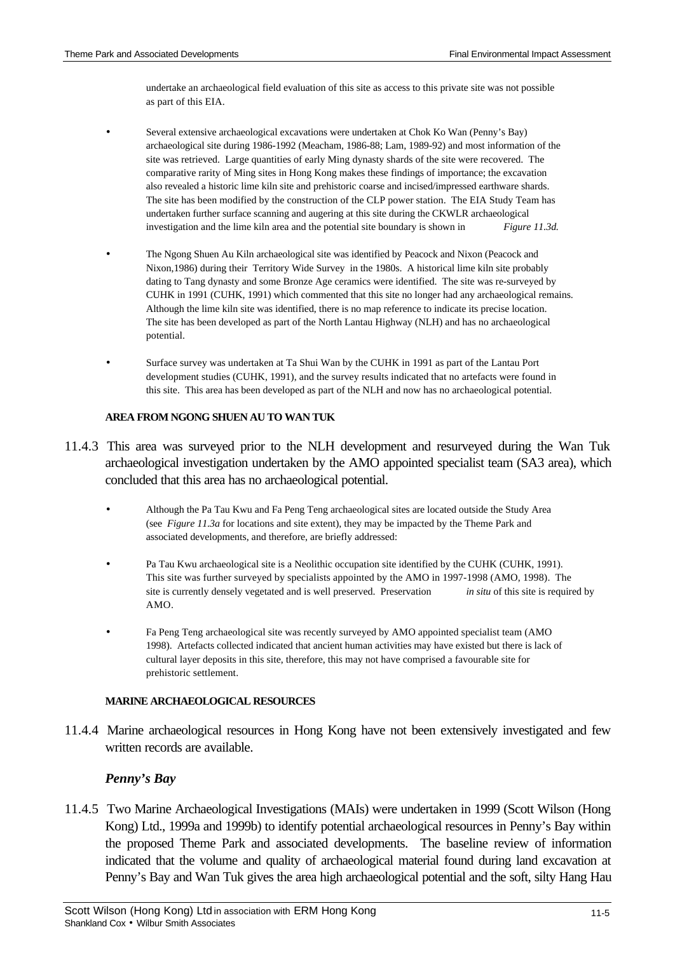undertake an archaeological field evaluation of this site as access to this private site was not possible as part of this EIA.

- Several extensive archaeological excavations were undertaken at Chok Ko Wan (Penny's Bay) archaeological site during 1986-1992 (Meacham, 1986-88; Lam, 1989-92) and most information of the site was retrieved. Large quantities of early Ming dynasty shards of the site were recovered. The comparative rarity of Ming sites in Hong Kong makes these findings of importance; the excavation also revealed a historic lime kiln site and prehistoric coarse and incised/impressed earthware shards. The site has been modified by the construction of the CLP power station. The EIA Study Team has undertaken further surface scanning and augering at this site during the CKWLR archaeological investigation and the lime kiln area and the potential site boundary is shown in *Figure 11.3d.*
- The Ngong Shuen Au Kiln archaeological site was identified by Peacock and Nixon (Peacock and Nixon,1986) during their Territory Wide Survey in the 1980s. A historical lime kiln site probably dating to Tang dynasty and some Bronze Age ceramics were identified. The site was re-surveyed by CUHK in 1991 (CUHK, 1991) which commented that this site no longer had any archaeological remains. Although the lime kiln site was identified, there is no map reference to indicate its precise location. The site has been developed as part of the North Lantau Highway (NLH) and has no archaeological potential.
- Surface survey was undertaken at Ta Shui Wan by the CUHK in 1991 as part of the Lantau Port development studies (CUHK, 1991), and the survey results indicated that no artefacts were found in this site. This area has been developed as part of the NLH and now has no archaeological potential.

#### **AREA FROM NGONG SHUEN AU TO WAN TUK**

- 11.4.3 This area was surveyed prior to the NLH development and resurveyed during the Wan Tuk archaeological investigation undertaken by the AMO appointed specialist team (SA3 area), which concluded that this area has no archaeological potential.
	- Although the Pa Tau Kwu and Fa Peng Teng archaeological sites are located outside the Study Area (see *Figure 11.3a* for locations and site extent), they may be impacted by the Theme Park and associated developments, and therefore, are briefly addressed:
	- Pa Tau Kwu archaeological site is a Neolithic occupation site identified by the CUHK (CUHK, 1991). This site was further surveyed by specialists appointed by the AMO in 1997-1998 (AMO, 1998). The site is currently densely vegetated and is well preserved. Preservation *in situ* of this site is required by AMO.
	- Fa Peng Teng archaeological site was recently surveyed by AMO appointed specialist team (AMO 1998). Artefacts collected indicated that ancient human activities may have existed but there is lack of cultural layer deposits in this site, therefore, this may not have comprised a favourable site for prehistoric settlement.

#### **MARINE ARCHAEOLOGICAL RESOURCES**

11.4.4 Marine archaeological resources in Hong Kong have not been extensively investigated and few written records are available.

### *Penny's Bay*

11.4.5 Two Marine Archaeological Investigations (MAIs) were undertaken in 1999 (Scott Wilson (Hong Kong) Ltd., 1999a and 1999b) to identify potential archaeological resources in Penny's Bay within the proposed Theme Park and associated developments. The baseline review of information indicated that the volume and quality of archaeological material found during land excavation at Penny's Bay and Wan Tuk gives the area high archaeological potential and the soft, silty Hang Hau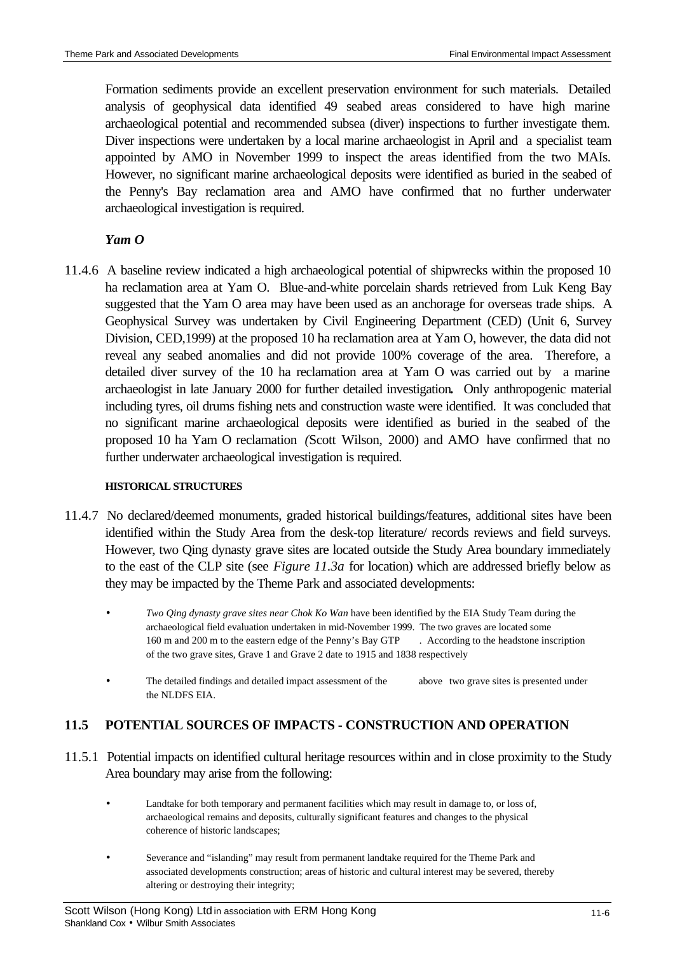Formation sediments provide an excellent preservation environment for such materials. Detailed analysis of geophysical data identified 49 seabed areas considered to have high marine archaeological potential and recommended subsea (diver) inspections to further investigate them. Diver inspections were undertaken by a local marine archaeologist in April and a specialist team appointed by AMO in November 1999 to inspect the areas identified from the two MAIs. However, no significant marine archaeological deposits were identified as buried in the seabed of the Penny's Bay reclamation area and AMO have confirmed that no further underwater archaeological investigation is required.

### *Yam O*

11.4.6 A baseline review indicated a high archaeological potential of shipwrecks within the proposed 10 ha reclamation area at Yam O. Blue-and-white porcelain shards retrieved from Luk Keng Bay suggested that the Yam O area may have been used as an anchorage for overseas trade ships. A Geophysical Survey was undertaken by Civil Engineering Department (CED) (Unit 6, Survey Division, CED,1999) at the proposed 10 ha reclamation area at Yam O, however, the data did not reveal any seabed anomalies and did not provide 100% coverage of the area. Therefore, a detailed diver survey of the 10 ha reclamation area at Yam O was carried out by a marine archaeologist in late January 2000 for further detailed investigation**.** Only anthropogenic material including tyres, oil drums fishing nets and construction waste were identified. It was concluded that no significant marine archaeological deposits were identified as buried in the seabed of the proposed 10 ha Yam O reclamation *(*Scott Wilson, 2000) and AMO have confirmed that no further underwater archaeological investigation is required.

#### **HISTORICAL STRUCTURES**

- 11.4.7 No declared/deemed monuments, graded historical buildings/features, additional sites have been identified within the Study Area from the desk-top literature/ records reviews and field surveys. However, two Qing dynasty grave sites are located outside the Study Area boundary immediately to the east of the CLP site (see *Figure 11.3a* for location) which are addressed briefly below as they may be impacted by the Theme Park and associated developments:
	- *Two Qing dynasty grave sites near Chok Ko Wan* have been identified by the EIA Study Team during the archaeological field evaluation undertaken in mid-November 1999. The two graves are located some 160 m and 200 m to the eastern edge of the Penny's Bay GTP *.* According to the headstone inscription of the two grave sites, Grave 1 and Grave 2 date to 1915 and 1838 respectively
	- The detailed findings and detailed impact assessment of the above two grave sites is presented under the NLDFS EIA.

# **11.5 POTENTIAL SOURCES OF IMPACTS - CONSTRUCTION AND OPERATION**

- 11.5.1 Potential impacts on identified cultural heritage resources within and in close proximity to the Study Area boundary may arise from the following:
	- Landtake for both temporary and permanent facilities which may result in damage to, or loss of, archaeological remains and deposits, culturally significant features and changes to the physical coherence of historic landscapes;
	- Severance and "islanding" may result from permanent landtake required for the Theme Park and associated developments construction; areas of historic and cultural interest may be severed, thereby altering or destroying their integrity;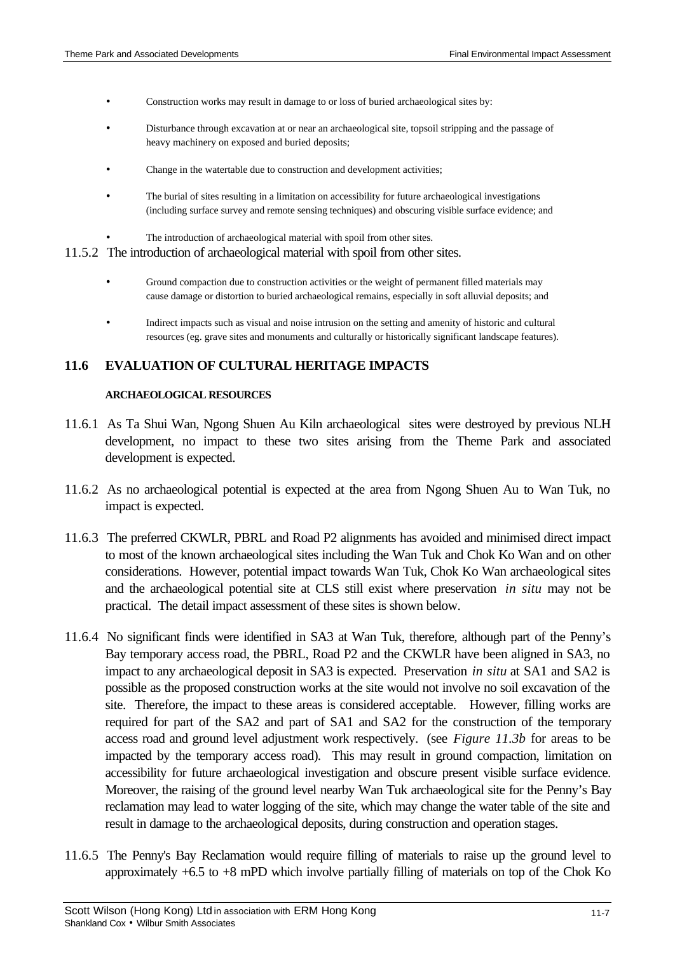- Construction works may result in damage to or loss of buried archaeological sites by:
- Disturbance through excavation at or near an archaeological site, topsoil stripping and the passage of heavy machinery on exposed and buried deposits;
- Change in the watertable due to construction and development activities;
- The burial of sites resulting in a limitation on accessibility for future archaeological investigations (including surface survey and remote sensing techniques) and obscuring visible surface evidence; and
- The introduction of archaeological material with spoil from other sites.

#### 11.5.2 The introduction of archaeological material with spoil from other sites.

- Ground compaction due to construction activities or the weight of permanent filled materials may cause damage or distortion to buried archaeological remains, especially in soft alluvial deposits; and
- Indirect impacts such as visual and noise intrusion on the setting and amenity of historic and cultural resources (eg. grave sites and monuments and culturally or historically significant landscape features).

### **11.6 EVALUATION OF CULTURAL HERITAGE IMPACTS**

#### **ARCHAEOLOGICAL RESOURCES**

- 11.6.1 As Ta Shui Wan, Ngong Shuen Au Kiln archaeological sites were destroyed by previous NLH development, no impact to these two sites arising from the Theme Park and associated development is expected.
- 11.6.2 As no archaeological potential is expected at the area from Ngong Shuen Au to Wan Tuk, no impact is expected.
- 11.6.3 The preferred CKWLR, PBRL and Road P2 alignments has avoided and minimised direct impact to most of the known archaeological sites including the Wan Tuk and Chok Ko Wan and on other considerations. However, potential impact towards Wan Tuk, Chok Ko Wan archaeological sites and the archaeological potential site at CLS still exist where preservation *in situ* may not be practical. The detail impact assessment of these sites is shown below.
- 11.6.4 No significant finds were identified in SA3 at Wan Tuk, therefore, although part of the Penny's Bay temporary access road, the PBRL, Road P2 and the CKWLR have been aligned in SA3, no impact to any archaeological deposit in SA3 is expected. Preservation *in situ* at SA1 and SA2 is possible as the proposed construction works at the site would not involve no soil excavation of the site. Therefore, the impact to these areas is considered acceptable. However, filling works are required for part of the SA2 and part of SA1 and SA2 for the construction of the temporary access road and ground level adjustment work respectively. (see *Figure 11.3b* for areas to be impacted by the temporary access road). This may result in ground compaction, limitation on accessibility for future archaeological investigation and obscure present visible surface evidence. Moreover, the raising of the ground level nearby Wan Tuk archaeological site for the Penny's Bay reclamation may lead to water logging of the site, which may change the water table of the site and result in damage to the archaeological deposits, during construction and operation stages.
- 11.6.5 The Penny's Bay Reclamation would require filling of materials to raise up the ground level to approximately +6.5 to +8 mPD which involve partially filling of materials on top of the Chok Ko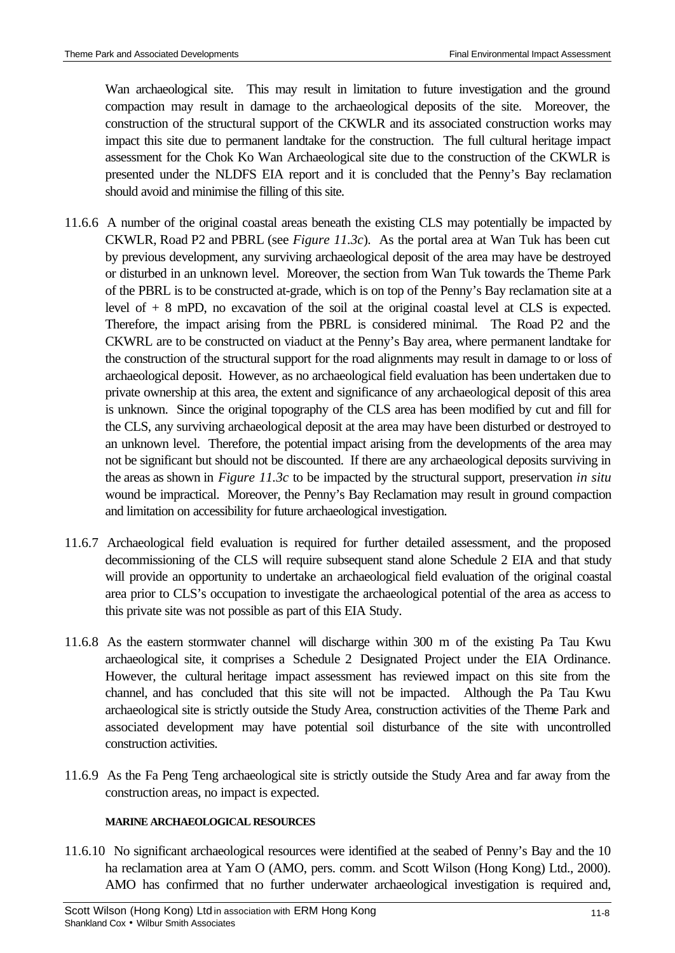Wan archaeological site. This may result in limitation to future investigation and the ground compaction may result in damage to the archaeological deposits of the site. Moreover, the construction of the structural support of the CKWLR and its associated construction works may impact this site due to permanent landtake for the construction. The full cultural heritage impact assessment for the Chok Ko Wan Archaeological site due to the construction of the CKWLR is presented under the NLDFS EIA report and it is concluded that the Penny's Bay reclamation should avoid and minimise the filling of this site.

- 11.6.6 A number of the original coastal areas beneath the existing CLS may potentially be impacted by CKWLR, Road P2 and PBRL (see *Figure 11.3c*). As the portal area at Wan Tuk has been cut by previous development, any surviving archaeological deposit of the area may have be destroyed or disturbed in an unknown level. Moreover, the section from Wan Tuk towards the Theme Park of the PBRL is to be constructed at-grade, which is on top of the Penny's Bay reclamation site at a level of + 8 mPD, no excavation of the soil at the original coastal level at CLS is expected. Therefore, the impact arising from the PBRL is considered minimal. The Road P2 and the CKWRL are to be constructed on viaduct at the Penny's Bay area, where permanent landtake for the construction of the structural support for the road alignments may result in damage to or loss of archaeological deposit. However, as no archaeological field evaluation has been undertaken due to private ownership at this area, the extent and significance of any archaeological deposit of this area is unknown. Since the original topography of the CLS area has been modified by cut and fill for the CLS, any surviving archaeological deposit at the area may have been disturbed or destroyed to an unknown level. Therefore, the potential impact arising from the developments of the area may not be significant but should not be discounted. If there are any archaeological deposits surviving in the areas as shown in *Figure 11.3c* to be impacted by the structural support*,* preservation *in situ* wound be impractical. Moreover, the Penny's Bay Reclamation may result in ground compaction and limitation on accessibility for future archaeological investigation.
- 11.6.7 Archaeological field evaluation is required for further detailed assessment, and the proposed decommissioning of the CLS will require subsequent stand alone Schedule 2 EIA and that study will provide an opportunity to undertake an archaeological field evaluation of the original coastal area prior to CLS's occupation to investigate the archaeological potential of the area as access to this private site was not possible as part of this EIA Study.
- 11.6.8 As the eastern stormwater channel will discharge within 300 m of the existing Pa Tau Kwu archaeological site, it comprises a Schedule 2 Designated Project under the EIA Ordinance. However, the cultural heritage impact assessment has reviewed impact on this site from the channel, and has concluded that this site will not be impacted. Although the Pa Tau Kwu archaeological site is strictly outside the Study Area, construction activities of the Theme Park and associated development may have potential soil disturbance of the site with uncontrolled construction activities.
- 11.6.9 As the Fa Peng Teng archaeological site is strictly outside the Study Area and far away from the construction areas, no impact is expected.

### **MARINE ARCHAEOLOGICAL RESOURCES**

11.6.10 No significant archaeological resources were identified at the seabed of Penny's Bay and the 10 ha reclamation area at Yam O (AMO, pers. comm. and Scott Wilson (Hong Kong) Ltd., 2000). AMO has confirmed that no further underwater archaeological investigation is required and,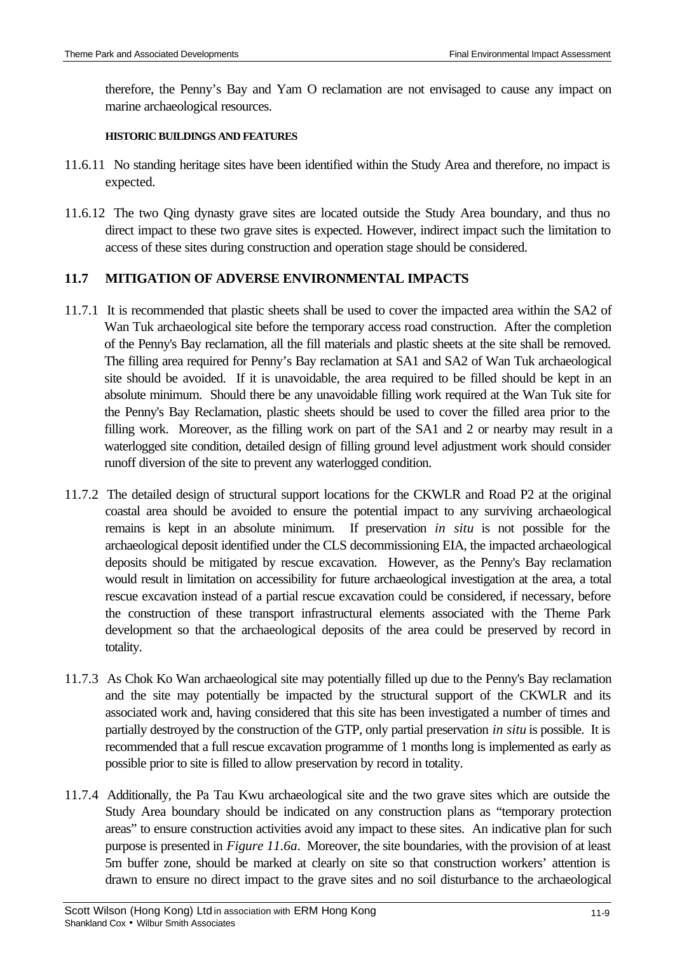therefore, the Penny's Bay and Yam O reclamation are not envisaged to cause any impact on marine archaeological resources.

### **HISTORIC BUILDINGS AND FEATURES**

- 11.6.11 No standing heritage sites have been identified within the Study Area and therefore, no impact is expected.
- 11.6.12 The two Qing dynasty grave sites are located outside the Study Area boundary, and thus no direct impact to these two grave sites is expected. However, indirect impact such the limitation to access of these sites during construction and operation stage should be considered.

### **11.7 MITIGATION OF ADVERSE ENVIRONMENTAL IMPACTS**

- 11.7.1 It is recommended that plastic sheets shall be used to cover the impacted area within the SA2 of Wan Tuk archaeological site before the temporary access road construction. After the completion of the Penny's Bay reclamation, all the fill materials and plastic sheets at the site shall be removed. The filling area required for Penny's Bay reclamation at SA1 and SA2 of Wan Tuk archaeological site should be avoided. If it is unavoidable, the area required to be filled should be kept in an absolute minimum. Should there be any unavoidable filling work required at the Wan Tuk site for the Penny's Bay Reclamation, plastic sheets should be used to cover the filled area prior to the filling work. Moreover, as the filling work on part of the SA1 and 2 or nearby may result in a waterlogged site condition, detailed design of filling ground level adjustment work should consider runoff diversion of the site to prevent any waterlogged condition.
- 11.7.2 The detailed design of structural support locations for the CKWLR and Road P2 at the original coastal area should be avoided to ensure the potential impact to any surviving archaeological remains is kept in an absolute minimum. If preservation *in situ* is not possible for the archaeological deposit identified under the CLS decommissioning EIA, the impacted archaeological deposits should be mitigated by rescue excavation. However, as the Penny's Bay reclamation would result in limitation on accessibility for future archaeological investigation at the area, a total rescue excavation instead of a partial rescue excavation could be considered, if necessary, before the construction of these transport infrastructural elements associated with the Theme Park development so that the archaeological deposits of the area could be preserved by record in totality.
- 11.7.3 As Chok Ko Wan archaeological site may potentially filled up due to the Penny's Bay reclamation and the site may potentially be impacted by the structural support of the CKWLR and its associated work and, having considered that this site has been investigated a number of times and partially destroyed by the construction of the GTP, only partial preservation *in situ* is possible. It is recommended that a full rescue excavation programme of 1 months long is implemented as early as possible prior to site is filled to allow preservation by record in totality.
- 11.7.4 Additionally*,* the Pa Tau Kwu archaeological site and the two grave sites which are outside the Study Area boundary should be indicated on any construction plans as "temporary protection areas" to ensure construction activities avoid any impact to these sites. An indicative plan for such purpose is presented in *Figure 11.6a*. Moreover, the site boundaries, with the provision of at least 5m buffer zone, should be marked at clearly on site so that construction workers' attention is drawn to ensure no direct impact to the grave sites and no soil disturbance to the archaeological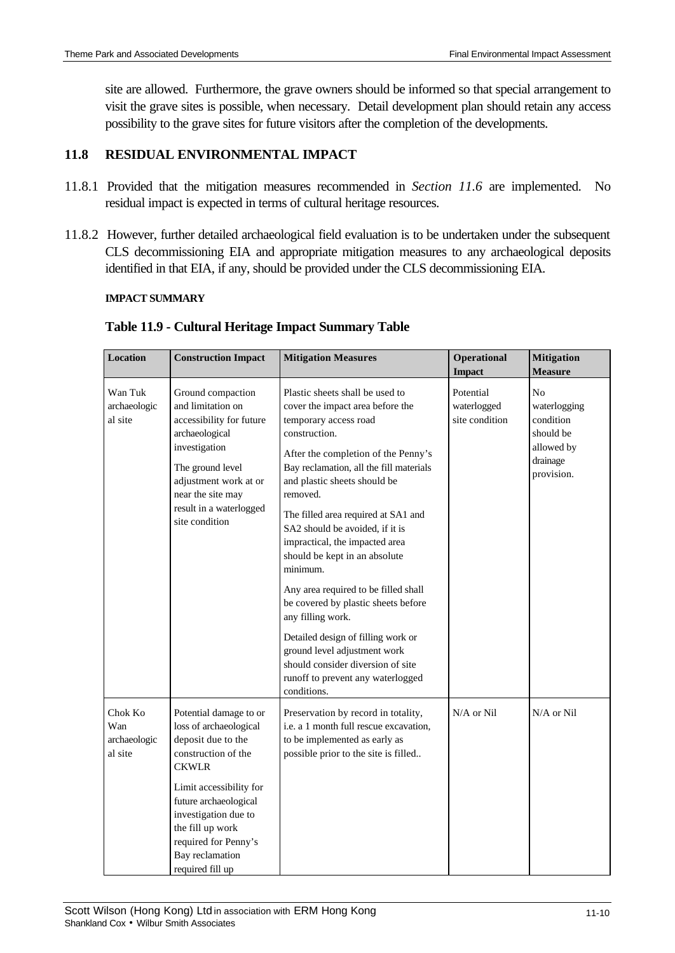site are allowed. Furthermore, the grave owners should be informed so that special arrangement to visit the grave sites is possible, when necessary. Detail development plan should retain any access possibility to the grave sites for future visitors after the completion of the developments.

# **11.8 RESIDUAL ENVIRONMENTAL IMPACT**

- 11.8.1 Provided that the mitigation measures recommended in *Section 11.6* are implemented. No residual impact is expected in terms of cultural heritage resources.
- 11.8.2 However, further detailed archaeological field evaluation is to be undertaken under the subsequent CLS decommissioning EIA and appropriate mitigation measures to any archaeological deposits identified in that EIA, if any, should be provided under the CLS decommissioning EIA.

### **IMPACT SUMMARY**

| <b>Location</b>                           | <b>Construction Impact</b>                                                                                                                                                                                           | <b>Mitigation Measures</b>                                                                                                                                                                                                                                                                                                                                                                                                                                                                                                                                                                                                                               | Operational<br><b>Impact</b>               | <b>Mitigation</b><br><b>Measure</b>                                                              |
|-------------------------------------------|----------------------------------------------------------------------------------------------------------------------------------------------------------------------------------------------------------------------|----------------------------------------------------------------------------------------------------------------------------------------------------------------------------------------------------------------------------------------------------------------------------------------------------------------------------------------------------------------------------------------------------------------------------------------------------------------------------------------------------------------------------------------------------------------------------------------------------------------------------------------------------------|--------------------------------------------|--------------------------------------------------------------------------------------------------|
| Wan Tuk<br>archaeologic<br>al site        | Ground compaction<br>and limitation on<br>accessibility for future<br>archaeological<br>investigation<br>The ground level<br>adjustment work at or<br>near the site may<br>result in a waterlogged<br>site condition | Plastic sheets shall be used to<br>cover the impact area before the<br>temporary access road<br>construction.<br>After the completion of the Penny's<br>Bay reclamation, all the fill materials<br>and plastic sheets should be<br>removed.<br>The filled area required at SA1 and<br>SA2 should be avoided, if it is<br>impractical, the impacted area<br>should be kept in an absolute<br>minimum.<br>Any area required to be filled shall<br>be covered by plastic sheets before<br>any filling work.<br>Detailed design of filling work or<br>ground level adjustment work<br>should consider diversion of site<br>runoff to prevent any waterlogged | Potential<br>waterlogged<br>site condition | N <sub>0</sub><br>waterlogging<br>condition<br>should be<br>allowed by<br>drainage<br>provision. |
| Chok Ko<br>Wan<br>archaeologic<br>al site | Potential damage to or<br>loss of archaeological<br>deposit due to the<br>construction of the<br><b>CKWLR</b><br>Limit accessibility for<br>future archaeological<br>investigation due to<br>the fill up work        | conditions.<br>Preservation by record in totality,<br>i.e. a 1 month full rescue excavation,<br>to be implemented as early as<br>possible prior to the site is filled                                                                                                                                                                                                                                                                                                                                                                                                                                                                                    | $N/A$ or $Nil$                             | N/A or Nil                                                                                       |
|                                           | required for Penny's<br>Bay reclamation<br>required fill up                                                                                                                                                          |                                                                                                                                                                                                                                                                                                                                                                                                                                                                                                                                                                                                                                                          |                                            |                                                                                                  |

### **Table 11.9 - Cultural Heritage Impact Summary Table**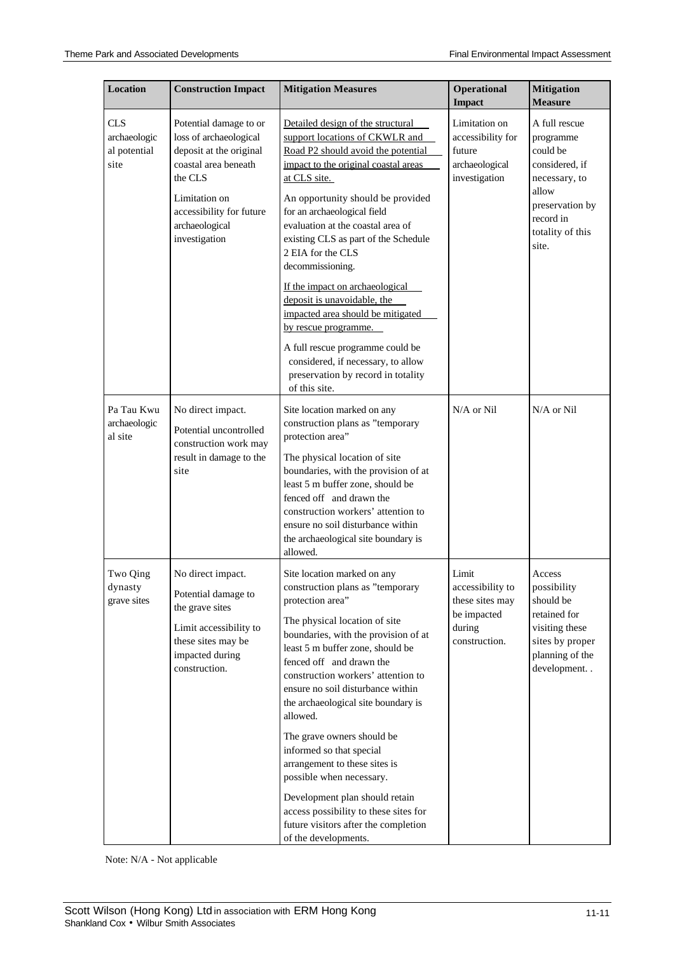| <b>Location</b>                                    | <b>Construction Impact</b>                                                                                                                                                                     | <b>Mitigation Measures</b>                                                                                                                                                                                                                                                                                                                                                                                                                                                                                                                                                                                                   | Operational<br><b>Impact</b>                                                           | <b>Mitigation</b><br><b>Measure</b>                                                                                                             |
|----------------------------------------------------|------------------------------------------------------------------------------------------------------------------------------------------------------------------------------------------------|------------------------------------------------------------------------------------------------------------------------------------------------------------------------------------------------------------------------------------------------------------------------------------------------------------------------------------------------------------------------------------------------------------------------------------------------------------------------------------------------------------------------------------------------------------------------------------------------------------------------------|----------------------------------------------------------------------------------------|-------------------------------------------------------------------------------------------------------------------------------------------------|
| <b>CLS</b><br>archaeologic<br>al potential<br>site | Potential damage to or<br>loss of archaeological<br>deposit at the original<br>coastal area beneath<br>the CLS<br>Limitation on<br>accessibility for future<br>archaeological<br>investigation | Detailed design of the structural<br>support locations of CKWLR and<br>Road P2 should avoid the potential<br>impact to the original coastal areas<br>at CLS site.<br>An opportunity should be provided<br>for an archaeological field<br>evaluation at the coastal area of<br>existing CLS as part of the Schedule<br>2 EIA for the CLS<br>decommissioning.                                                                                                                                                                                                                                                                  | Limitation on<br>accessibility for<br>future<br>archaeological<br>investigation        | A full rescue<br>programme<br>could be<br>considered, if<br>necessary, to<br>allow<br>preservation by<br>record in<br>totality of this<br>site. |
|                                                    |                                                                                                                                                                                                | If the impact on archaeological<br>deposit is unavoidable, the<br>impacted area should be mitigated<br>by rescue programme.<br>A full rescue programme could be<br>considered, if necessary, to allow<br>preservation by record in totality<br>of this site.                                                                                                                                                                                                                                                                                                                                                                 |                                                                                        |                                                                                                                                                 |
| Pa Tau Kwu<br>archaeologic<br>al site              | No direct impact.<br>Potential uncontrolled<br>construction work may<br>result in damage to the<br>site                                                                                        | Site location marked on any<br>construction plans as "temporary<br>protection area"<br>The physical location of site<br>boundaries, with the provision of at<br>least 5 m buffer zone, should be<br>fenced off and drawn the<br>construction workers' attention to<br>ensure no soil disturbance within<br>the archaeological site boundary is<br>allowed.                                                                                                                                                                                                                                                                   | N/A or Nil                                                                             | N/A or Nil                                                                                                                                      |
| Two Qing<br>dynasty<br>grave sites                 | No direct impact.<br>Potential damage to<br>the grave sites<br>Limit accessibility to<br>these sites may be<br>impacted during<br>construction.                                                | Site location marked on any<br>construction plans as "temporary<br>protection area"<br>The physical location of site<br>boundaries, with the provision of at<br>least 5 m buffer zone, should be<br>fenced off and drawn the<br>construction workers' attention to<br>ensure no soil disturbance within<br>the archaeological site boundary is<br>allowed.<br>The grave owners should be<br>informed so that special<br>arrangement to these sites is<br>possible when necessary.<br>Development plan should retain<br>access possibility to these sites for<br>future visitors after the completion<br>of the developments. | Limit<br>accessibility to<br>these sites may<br>be impacted<br>during<br>construction. | Access<br>possibility<br>should be<br>retained for<br>visiting these<br>sites by proper<br>planning of the<br>development                       |

Note: N/A - Not applicable